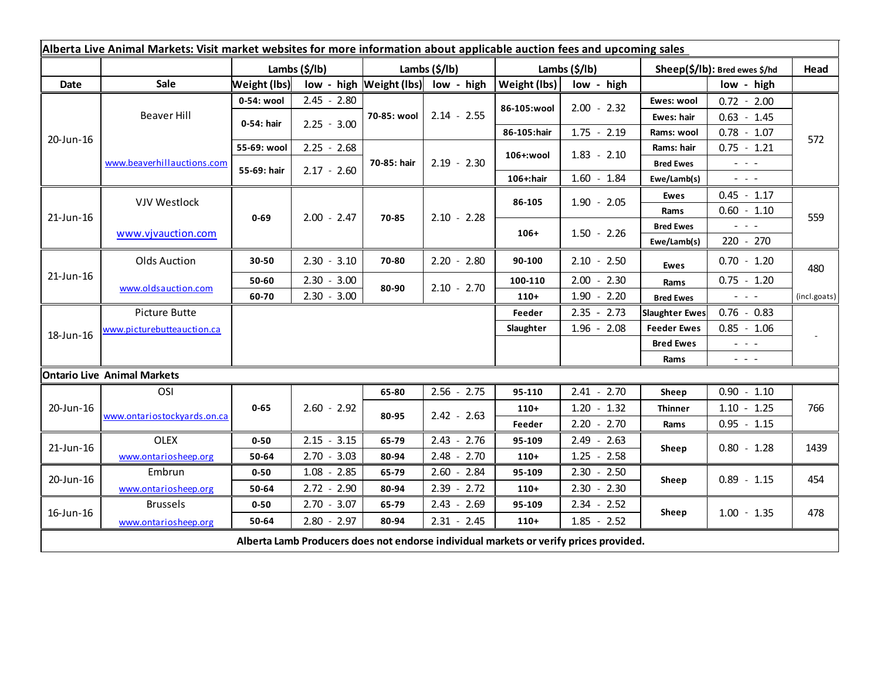|                                                                                       |                             | Lambs (\$/lb) |               | Lambs (\$/lb)                      |               | Alberta Live Animal Markets: Visit market websites for more information about applicable auction fees and upcoming sales<br>Lambs (\$/lb) |               | Sheep(\$/lb): Bred ewes \$/hd |                                                                                                                                          | Head         |
|---------------------------------------------------------------------------------------|-----------------------------|---------------|---------------|------------------------------------|---------------|-------------------------------------------------------------------------------------------------------------------------------------------|---------------|-------------------------------|------------------------------------------------------------------------------------------------------------------------------------------|--------------|
| Date                                                                                  | Sale                        | Weight (lbs)  |               | low - high Weight (lbs) low - high |               | Weight (lbs)<br>low - high                                                                                                                |               | low - high                    |                                                                                                                                          |              |
| 20-Jun-16                                                                             | Beaver Hill                 | 0-54: wool    | $2.45 - 2.80$ |                                    | $2.14 - 2.55$ | 86-105:wool                                                                                                                               | $2.00 - 2.32$ | Ewes: wool                    | $0.72 - 2.00$                                                                                                                            | 572          |
|                                                                                       |                             | 0-54: hair    | $2.25 - 3.00$ | 70-85: wool                        |               |                                                                                                                                           |               | Ewes: hair                    | $0.63 - 1.45$                                                                                                                            |              |
|                                                                                       |                             |               |               |                                    |               | 86-105:hair                                                                                                                               | $1.75 - 2.19$ | Rams: wool                    | $0.78 - 1.07$                                                                                                                            |              |
|                                                                                       | www.beaverhillauctions.com  | 55-69: wool   | $2.25 - 2.68$ |                                    | $2.19 - 2.30$ | 106+:wool                                                                                                                                 | $1.83 - 2.10$ | Rams: hair                    | $0.75 - 1.21$                                                                                                                            |              |
|                                                                                       |                             | 55-69: hair   | $2.17 - 2.60$ | 70-85: hair                        |               |                                                                                                                                           |               | <b>Bred Ewes</b>              | $\omega_{\rm{eff}}=0.02$                                                                                                                 |              |
|                                                                                       |                             |               |               |                                    |               | 106+:hair                                                                                                                                 | $1.60 - 1.84$ | Ewe/Lamb(s)                   | $\label{eq:2.1} \frac{1}{2} \left( \frac{1}{2} \right) \left( \frac{1}{2} \right) \left( \frac{1}{2} \right) \left( \frac{1}{2} \right)$ |              |
| 21-Jun-16                                                                             | VJV Westlock                | $0 - 69$      | $2.00 - 2.47$ | 70-85                              | $2.10 - 2.28$ | 86-105                                                                                                                                    | $1.90 - 2.05$ | Ewes                          | $0.45 - 1.17$                                                                                                                            | 559          |
|                                                                                       |                             |               |               |                                    |               |                                                                                                                                           |               | Rams                          | $0.60 - 1.10$                                                                                                                            |              |
|                                                                                       | www.vjvauction.com          |               |               |                                    |               | $106+$                                                                                                                                    | $1.50 - 2.26$ | <b>Bred Ewes</b>              | $  -$                                                                                                                                    |              |
|                                                                                       |                             |               |               |                                    |               |                                                                                                                                           |               | Ewe/Lamb(s)                   | 220 - 270                                                                                                                                |              |
| 21-Jun-16                                                                             | <b>Olds Auction</b>         | 30-50         | $2.30 - 3.10$ | 70-80                              | $2.20 - 2.80$ | 90-100                                                                                                                                    | $2.10 - 2.50$ | <b>Ewes</b>                   | $0.70 - 1.20$                                                                                                                            | 480          |
|                                                                                       | www.oldsauction.com         | 50-60         | $2.30 - 3.00$ | 80-90                              | $2.10 - 2.70$ | 100-110                                                                                                                                   | $2.00 - 2.30$ | Rams                          | $0.75 - 1.20$                                                                                                                            |              |
|                                                                                       |                             | 60-70         | $2.30 - 3.00$ |                                    |               | $110+$                                                                                                                                    | $1.90 - 2.20$ | <b>Bred Ewes</b>              | $\omega_{\rm{eff}}$ and $\omega_{\rm{eff}}$                                                                                              | (incl.goats) |
| 18-Jun-16                                                                             | Picture Butte               |               |               |                                    |               | Feeder                                                                                                                                    | $2.35 - 2.73$ | <b>Slaughter Ewes</b>         | $0.76 - 0.83$                                                                                                                            |              |
|                                                                                       | www.picturebutteauction.ca  |               |               |                                    |               | Slaughter                                                                                                                                 | $1.96 - 2.08$ | <b>Feeder Ewes</b>            | $0.85 - 1.06$                                                                                                                            |              |
|                                                                                       |                             |               |               |                                    |               |                                                                                                                                           |               | <b>Bred Ewes</b>              | $\omega_{\rm{eff}}$ and $\omega_{\rm{eff}}$                                                                                              |              |
|                                                                                       |                             |               |               |                                    |               |                                                                                                                                           |               | Rams                          | $\omega_{\rm{eff}}=0.1$                                                                                                                  |              |
| <b>Ontario Live Animal Markets</b>                                                    |                             |               |               |                                    |               |                                                                                                                                           |               |                               |                                                                                                                                          |              |
| 20-Jun-16                                                                             | OSI                         |               |               | 65-80                              | $2.56 - 2.75$ | 95-110                                                                                                                                    | $2.41 - 2.70$ | Sheep                         | $0.90 - 1.10$                                                                                                                            |              |
|                                                                                       | www.ontariostockyards.on.ca | $0 - 65$      | $2.60 - 2.92$ | 80-95                              | $2.42 - 2.63$ | $110+$                                                                                                                                    | $1.20 - 1.32$ | <b>Thinner</b>                | $1.10 - 1.25$                                                                                                                            | 766          |
|                                                                                       |                             |               |               |                                    |               | Feeder                                                                                                                                    | $2.20 - 2.70$ | Rams                          | $0.95 - 1.15$                                                                                                                            |              |
| 21-Jun-16                                                                             | <b>OLEX</b>                 | $0 - 50$      | $2.15 - 3.15$ | 65-79                              | $2.43 - 2.76$ | 95-109                                                                                                                                    | $2.49 - 2.63$ | Sheep                         | $0.80 - 1.28$                                                                                                                            | 1439         |
|                                                                                       | www.ontariosheep.org        | 50-64         | $2.70 - 3.03$ | 80-94                              | $2.48 - 2.70$ | $110+$                                                                                                                                    | $1.25 - 2.58$ |                               |                                                                                                                                          |              |
| 20-Jun-16                                                                             | <b>Embrun</b>               | $0 - 50$      | $1.08 - 2.85$ | 65-79                              | $2.60 - 2.84$ | 95-109                                                                                                                                    | $2.30 - 2.50$ | Sheep                         | $0.89 - 1.15$                                                                                                                            | 454          |
|                                                                                       | www.ontariosheep.org        | 50-64         | $2.72 - 2.90$ | 80-94                              | $2.39 - 2.72$ | $110+$                                                                                                                                    | $2.30 - 2.30$ |                               |                                                                                                                                          |              |
| 16-Jun-16                                                                             | <b>Brussels</b>             | $0 - 50$      | $2.70 - 3.07$ | 65-79                              | $2.43 - 2.69$ | 95-109                                                                                                                                    | $2.34 - 2.52$ | Sheep                         | $1.00 - 1.35$                                                                                                                            | 478          |
|                                                                                       | www.ontariosheep.org        | 50-64         | $2.80 - 2.97$ | 80-94                              | $2.31 - 2.45$ | $110+$                                                                                                                                    | $1.85 - 2.52$ |                               |                                                                                                                                          |              |
| Alberta Lamb Producers does not endorse individual markets or verify prices provided. |                             |               |               |                                    |               |                                                                                                                                           |               |                               |                                                                                                                                          |              |